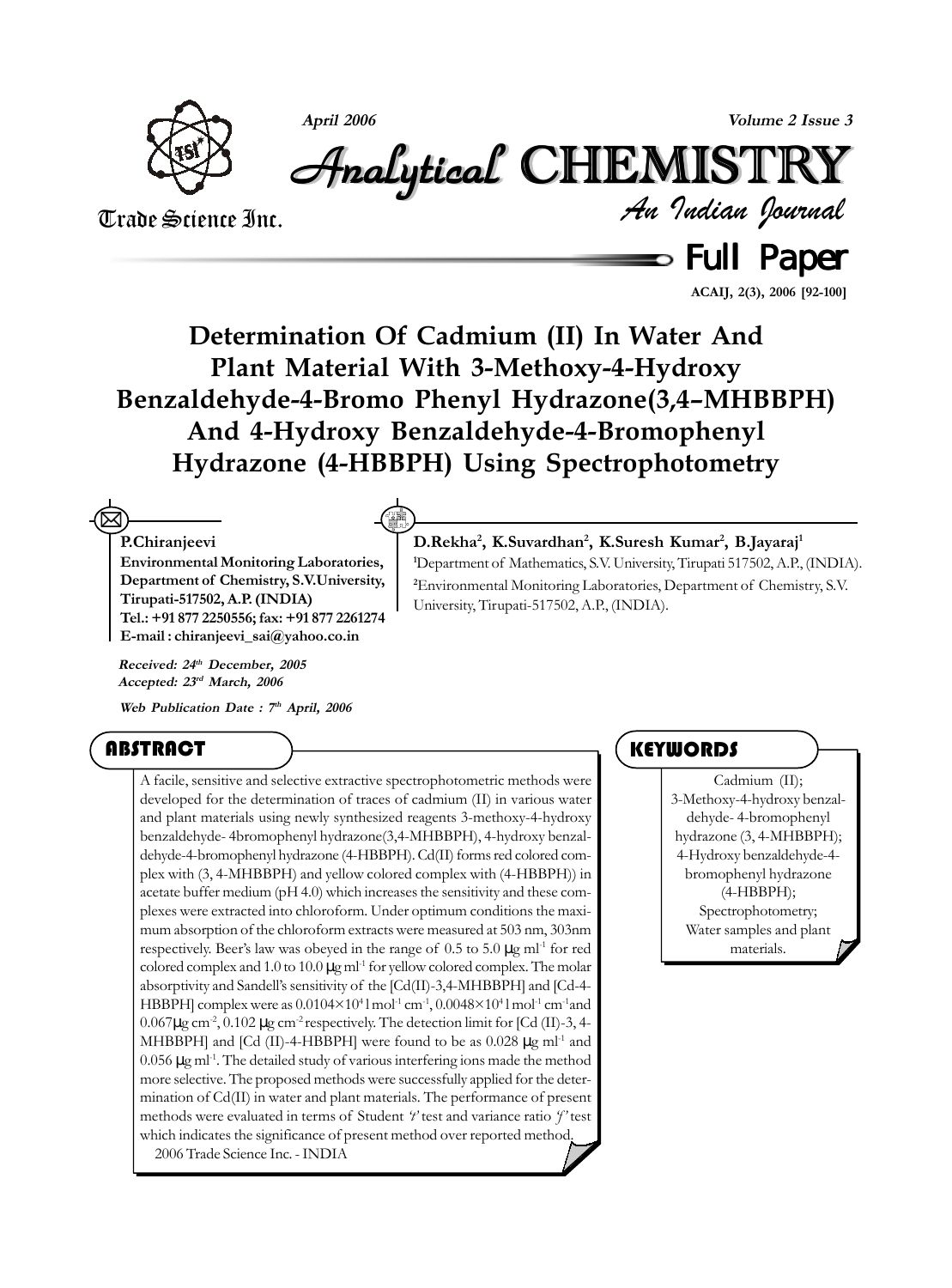

**April 2006 Volume 2 Issue 3**

# Analytical Analytical Analytical Analytical Analytical Analytical CHEMISTR CHEMISTR HEMISTR HEMISTRYY

Trade Science Inc.

*An Indian Journal*

 $\equiv$  Full Paper

**ACAIJ, 2(3), 2006 [92-100]**

**Determination Of Cadmium (II) In Water And Plant Material With 3-Methoxy-4-Hydroxy Benzaldehyde-4-Bromo Phenyl Hydrazone(3,4–MHBBPH) And 4-Hydroxy Benzaldehyde-4-Bromophenyl Hydrazone (4-HBBPH) Using Spectrophotometry**

#### **P.Chiranjeevi**  $\boxtimes$

**Environmental Monitoring Laboratories, Department of Chemistry, S.V.University, Tirupati-517502, A.P. (INDIA) Tel.: +91 877 2250556; fax: +91 877 2261274 E-mail : chiranjeevi\_sai@yahoo.co.in**

**Received: 24th December, 2005 Accepted: 23rd March, 2006**

**Web Publication Date : 7th April, 2006**

### ABSTRACT

A facile, sensitive and selective extractive spectrophotometric methods were developed for the determination of traces of cadmium (II) in various water and plant materials using newly synthesized reagents 3-methoxy-4-hydroxy benzaldehyde- 4bromophenyl hydrazone(3,4-MHBBPH), 4-hydroxy benzaldehyde-4-bromophenyl hydrazone (4-HBBPH). Cd(II) forms red colored complex with (3, 4-MHBBPH) and yellow colored complex with (4-HBBPH)) in acetate buffer medium (pH 4.0) which increases the sensitivity and these complexes were extracted into chloroform. Under optimum conditions the maximum absorption of the chloroform extracts were measured at 503 nm, 303nm respectively. Beer's law was obeyed in the range of  $0.5$  to  $5.0 \mu$ g ml<sup>-1</sup> for red colored complex and 1.0 to 10.0  $\mu$ g ml<sup>-1</sup> for yellow colored complex. The molar absorptivity and Sandell's sensitivity of the [Cd(II)-3,4-MHBBPH] and [Cd-4- HBBPH] complex were as  $0.0104\times10^{4}$ l mol<sup>-1</sup> cm<sup>-1</sup>,  $0.0048\times10^{4}$ l mol<sup>-1</sup> cm<sup>-1</sup>and  $0.067\mu$ g cm<sup>-2</sup>,  $0.102\mu$ g cm<sup>-2</sup> respectively. The detection limit for [Cd (II)-3, 4-MHBBPH] and [Cd (II)-4-HBBPH] were found to be as  $0.028 \mu g$  ml<sup>-1</sup> and  $0.056 \,\mu\text{g}$  ml<sup>-1</sup>. The detailed study of various interfering ions made the method more selective. The proposed methods were successfully applied for the determination of Cd(II) in water and plant materials. The performance of present methods were evaluated in terms of Student *'t'* test and variance ratio *'f'* test which indicates the significance of present method over reported method. 2006 Trade Science Inc. - INDIA

#### **KEYWORDS**

Cadmium (II); 3-Methoxy-4-hydroxy benzaldehyde- 4-bromophenyl hydrazone (3, 4-MHBBPH); 4-Hydroxy benzaldehyde-4 bromophenyl hydrazone (4-HBBPH); Spectrophotometry; Water samples and plant materials.

#### **D.Rekha2 , K.Suvardhan2 , K.Suresh Kumar2 , B.Jayaraj1**

**1** Department of Mathematics, S.V. University, Tirupati 517502, A.P., (INDIA). **2** Environmental Monitoring Laboratories, Department of Chemistry, S.V. University, Tirupati-517502, A.P., (INDIA).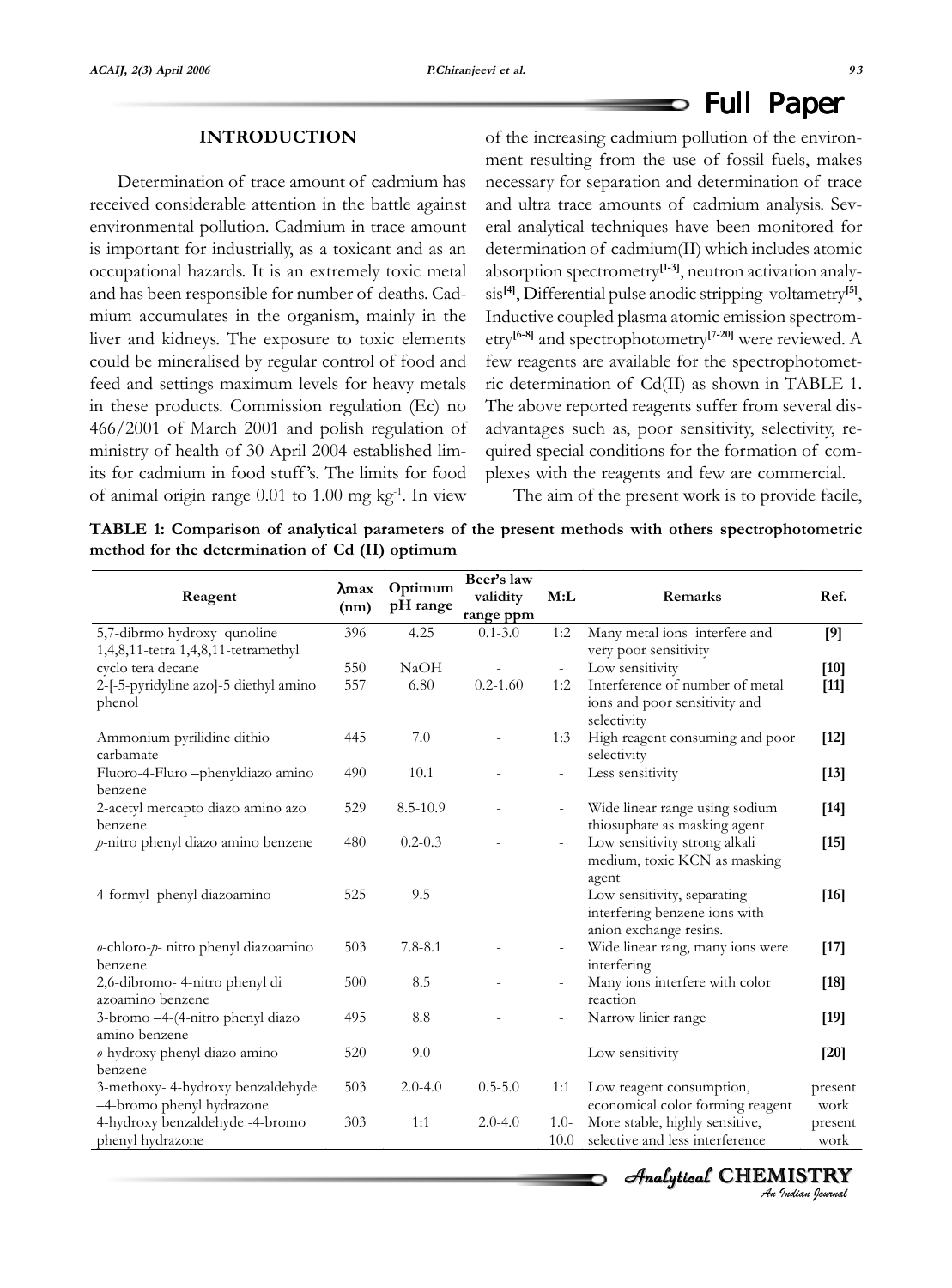#### **INTRODUCTION**

Determination of trace amount of cadmium has received considerable attention in the battle against environmental pollution. Cadmium in trace amount is important for industrially, as a toxicant and as an occupational hazards. It is an extremely toxic metal and has been responsible for number of deaths. Cadmium accumulates in the organism, mainly in the liver and kidneys. The exposure to toxic elements could be mineralised by regular control of food and feed and settings maximum levels for heavy metals in these products. Commission regulation (Ec) no 466/2001 of March 2001 and polish regulation of ministry of health of 30 April 2004 established limits for cadmium in food stuff 's. The limits for food of animal origin range 0.01 to 1.00 mg kg-1. In view

of the increasing cadmium pollution of the environment resulting from the use of fossil fuels, makes necessary for separation and determination of trace and ultra trace amounts of cadmium analysis. Several analytical techniques have been monitored for determination of cadmium(II) which includes atomic absorption spectrometry**[1-3]**, neutron activation analysis**[4]**, Differential pulse anodic stripping voltametry**[5]**, Inductive coupled plasma atomic emission spectrometry**[6-8]** and spectrophotometry**[7-20]** were reviewed. A few reagents are available for the spectrophotometric determination of Cd(II) as shown in TABLE 1. The above reported reagents suffer from several disadvantages such as, poor sensitivity, selectivity, required special conditions for the formation of complexes with the reagents and few are commercial.

The aim of the present work is to provide facile,

**TABLE 1: Comparison of analytical parameters of the present methods with others spectrophotometric method for the determination of Cd (II) optimum**

| Reagent                                                       | $\lambda$ max<br>(nm) | Optimum<br>pH range | Beer's law<br>validity<br>range ppm | M:L                         | Remarks                                                                                | Ref.            |
|---------------------------------------------------------------|-----------------------|---------------------|-------------------------------------|-----------------------------|----------------------------------------------------------------------------------------|-----------------|
| 5,7-dibrmo hydroxy qunoline                                   | 396                   | 4.25                | $0.1 - 3.0$                         | 1:2                         | Many metal ions interfere and                                                          | [9]             |
| 1,4,8,11-tetra 1,4,8,11-tetramethyl                           |                       |                     |                                     |                             | very poor sensitivity                                                                  |                 |
| cyclo tera decane                                             | 550                   | NaOH                |                                     | $\mathcal{L}_{\mathcal{A}}$ | Low sensitivity                                                                        | $[10]$          |
| 2-[-5-pyridyline azo]-5 diethyl amino<br>phenol               | 557                   | 6.80                | $0.2 - 1.60$                        | 1:2                         | Interference of number of metal<br>ions and poor sensitivity and<br>selectivity        | $[11]$          |
| Ammonium pyrilidine dithio<br>carbamate                       | 445                   | 7.0                 |                                     | 1:3                         | High reagent consuming and poor<br>selectivity                                         | $[12]$          |
| Fluoro-4-Fluro -phenyldiazo amino<br>benzene                  | 490                   | 10.1                |                                     | $\overline{\phantom{m}}$    | Less sensitivity                                                                       | $[13]$          |
| 2-acetyl mercapto diazo amino azo<br>benzene                  | 529                   | $8.5 - 10.9$        |                                     | $\overline{\phantom{a}}$    | Wide linear range using sodium<br>thiosuphate as masking agent                         | $[14]$          |
| p-nitro phenyl diazo amino benzene                            | 480                   | $0.2 - 0.3$         |                                     | $\overline{\phantom{a}}$    | Low sensitivity strong alkali<br>medium, toxic KCN as masking<br>agent                 | $[15]$          |
| 4-formyl phenyl diazoamino                                    | 525                   | 9.5                 |                                     | $\frac{1}{2}$               | Low sensitivity, separating<br>interfering benzene ions with<br>anion exchange resins. | $[16]$          |
| o-chloro-p- nitro phenyl diazoamino<br>benzene                | 503                   | $7.8 - 8.1$         |                                     | $\overline{\phantom{a}}$    | Wide linear rang, many ions were<br>interfering                                        | $[17]$          |
| 2,6-dibromo- 4-nitro phenyl di<br>azoamino benzene            | 500                   | 8.5                 |                                     | $\overline{\phantom{a}}$    | Many ions interfere with color<br>reaction                                             | $[18]$          |
| 3-bromo -4-(4-nitro phenyl diazo<br>amino benzene             | 495                   | 8.8                 |                                     | ÷,                          | Narrow linier range                                                                    | $[19]$          |
| o-hydroxy phenyl diazo amino<br>benzene                       | 520                   | 9.0                 |                                     |                             | Low sensitivity                                                                        | $[20]$          |
| 3-methoxy-4-hydroxy benzaldehyde<br>-4-bromo phenyl hydrazone | 503                   | $2.0 - 4.0$         | $0.5 - 5.0$                         | 1:1                         | Low reagent consumption,<br>economical color forming reagent                           | present<br>work |
| 4-hydroxy benzaldehyde -4-bromo<br>phenyl hydrazone           | 303                   | 1:1                 | $2.0 - 4.0$                         | $1.0-$<br>10.0              | More stable, highly sensitive,<br>selective and less interference                      | present<br>work |

*An Indian Journal* Analytical  $\,$  <code>CHEMISTRY</code>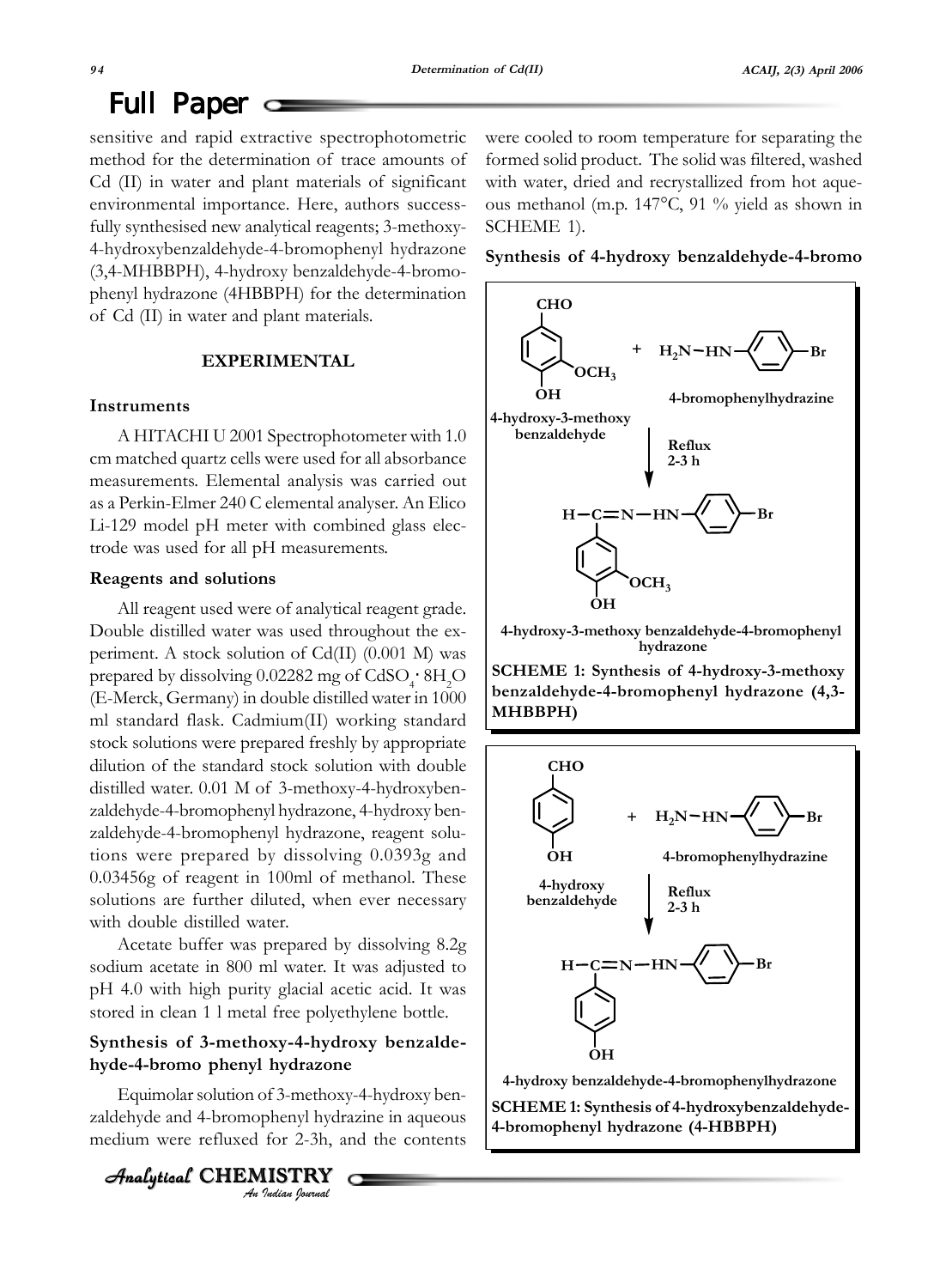### Full Paper  $\sim$

sensitive and rapid extractive spectrophotometric method for the determination of trace amounts of Cd (II) in water and plant materials of significant environmental importance. Here, authors successfully synthesised new analytical reagents; 3-methoxy-4-hydroxybenzaldehyde-4-bromophenyl hydrazone (3,4-MHBBPH), 4-hydroxy benzaldehyde-4-bromophenyl hydrazone (4HBBPH) for the determination of Cd (II) in water and plant materials.

#### **EXPERIMENTAL**

#### **Instruments**

A HITACHI U 2001 Spectrophotometer with 1.0 cm matched quartz cells were used for all absorbance measurements. Elemental analysis was carried out as a Perkin-Elmer 240 C elemental analyser. An Elico Li-129 model pH meter with combined glass electrode was used for all pH measurements.

#### **Reagents and solutions**

All reagent used were of analytical reagent grade. Double distilled water was used throughout the experiment. A stock solution of Cd(II) (0.001 M) was prepared by dissolving  $0.02282$  mg of CdSO<sub>4</sub> $\cdot$  8H<sub>2</sub>O (E-Merck, Germany) in double distilled water in 1000 ml standard flask. Cadmium(II) working standard stock solutions were prepared freshly by appropriate dilution of the standard stock solution with double distilled water. 0.01 M of 3-methoxy-4-hydroxybenzaldehyde-4-bromophenyl hydrazone, 4-hydroxy benzaldehyde-4-bromophenyl hydrazone, reagent solutions were prepared by dissolving 0.0393g and 0.03456g of reagent in 100ml of methanol. These solutions are further diluted, when ever necessary with double distilled water.

Acetate buffer was prepared by dissolving 8.2g sodium acetate in 800 ml water. It was adjusted to pH 4.0 with high purity glacial acetic acid. It was stored in clean 1 l metal free polyethylene bottle.

#### **Synthesis of 3-methoxy-4-hydroxy benzaldehyde-4-bromo phenyl hydrazone**

Equimolar solution of 3-methoxy-4-hydroxy benzaldehyde and 4-bromophenyl hydrazine in aqueous medium were refluxed for 2-3h, and the contents

*An Indian Journal* Analytical  $\,$  <code>CHEMISTRY</code> were cooled to room temperature for separating the formed solid product. The solid was filtered, washed with water, dried and recrystallized from hot aqueous methanol (m.p. 147°C, 91 % yield as shown in SCHEME 1).

#### **Synthesis of 4-hydroxy benzaldehyde-4-bromo**



**4-hydroxy-3-methoxy benzaldehyde-4-bromophenyl hydrazone**

**SCHEME 1: Synthesis of 4-hydroxy-3-methoxy benzaldehyde-4-bromophenyl hydrazone (4,3- MHBBPH)**

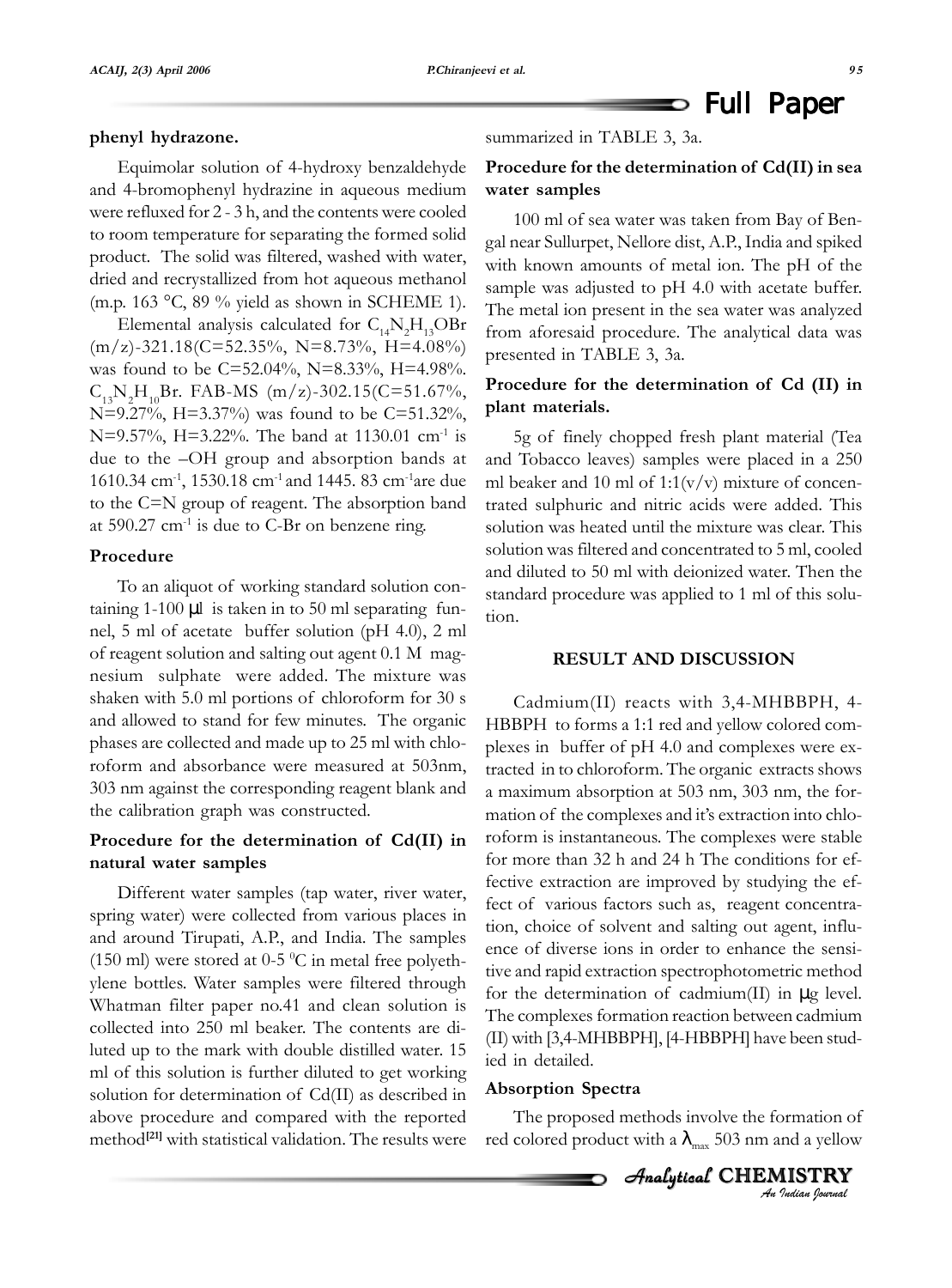Equimolar solution of 4-hydroxy benzaldehyde and 4-bromophenyl hydrazine in aqueous medium were refluxed for 2 - 3 h, and the contents were cooled to room temperature for separating the formed solid product. The solid was filtered, washed with water, dried and recrystallized from hot aqueous methanol (m.p. 163 °C, 89 % yield as shown in SCHEME 1).

Elemental analysis calculated for  $C_{14}N_2H_{13}OBr$  $(m/z)$ -321.18(C=52.35%, N=8.73%, H=4.08%) was found to be C=52.04%, N=8.33%, H=4.98%.  $C_{13}N_2H_{10}Br. FAB-MS (m/z)-302.15(C=51.67\%,$ N=9.27%, H=3.37%) was found to be C=51.32%, N=9.57%, H=3.22%. The band at 1130.01 cm<sup>-1</sup> is due to the –OH group and absorption bands at 1610.34 cm-1, 1530.18 cm-1 and 1445. 83 cm-1are due to the C=N group of reagent. The absorption band at  $590.27 \text{ cm}^{-1}$  is due to C-Br on benzene ring.

#### **Procedure**

To an aliquot of working standard solution containing 1-100 µl is taken in to 50 ml separating funnel, 5 ml of acetate buffer solution (pH 4.0), 2 ml of reagent solution and salting out agent 0.1 M magnesium sulphate were added. The mixture was shaken with 5.0 ml portions of chloroform for 30 s and allowed to stand for few minutes. The organic phases are collected and made up to 25 ml with chloroform and absorbance were measured at 503nm, 303 nm against the corresponding reagent blank and the calibration graph was constructed.

#### **Procedure for the determination of Cd(II) in natural water samples**

Different water samples (tap water, river water, spring water) were collected from various places in and around Tirupati, A.P., and India. The samples (150 ml) were stored at 0-5  $\mathrm{^0C}$  in metal free polyethylene bottles. Water samples were filtered through Whatman filter paper no.41 and clean solution is collected into 250 ml beaker. The contents are diluted up to the mark with double distilled water. 15 ml of this solution is further diluted to get working solution for determination of Cd(II) as described in above procedure and compared with the reported method**[21]** with statistical validation. The results were

### $\Rightarrow$  Full Paper

summarized in TABLE 3, 3a.

#### **Procedure for the determination of Cd(II) in sea water samples**

100 ml of sea water was taken from Bay of Bengal near Sullurpet, Nellore dist, A.P., India and spiked with known amounts of metal ion. The pH of the sample was adjusted to pH 4.0 with acetate buffer. The metal ion present in the sea water was analyzed from aforesaid procedure. The analytical data was presented in TABLE 3, 3a.

#### **Procedure for the determination of Cd (II) in plant materials.**

5g of finely chopped fresh plant material (Tea and Tobacco leaves) samples were placed in a 250 ml beaker and 10 ml of  $1:1(v/v)$  mixture of concentrated sulphuric and nitric acids were added. This solution was heated until the mixture was clear. This solution was filtered and concentrated to 5 ml, cooled and diluted to 50 ml with deionized water. Then the standard procedure was applied to 1 ml of this solution.

#### **RESULT AND DISCUSSION**

Cadmium(II) reacts with 3,4-MHBBPH, 4- HBBPH to forms a 1:1 red and yellow colored complexes in buffer of pH 4.0 and complexes were extracted in to chloroform. The organic extracts shows a maximum absorption at 503 nm, 303 nm, the formation of the complexes and it's extraction into chloroform is instantaneous. The complexes were stable for more than 32 h and 24 h The conditions for effective extraction are improved by studying the effect of various factors such as, reagent concentration, choice of solvent and salting out agent, influence of diverse ions in order to enhance the sensitive and rapid extraction spectrophotometric method for the determination of cadmium(II) in µg level. The complexes formation reaction between cadmium (II) with [3,4-MHBBPH], [4-HBBPH] have been studied in detailed.

#### **Absorption Spectra**

The proposed methods involve the formation of red colored product with a  $\lambda_{\text{max}}$  503 nm and a yellow

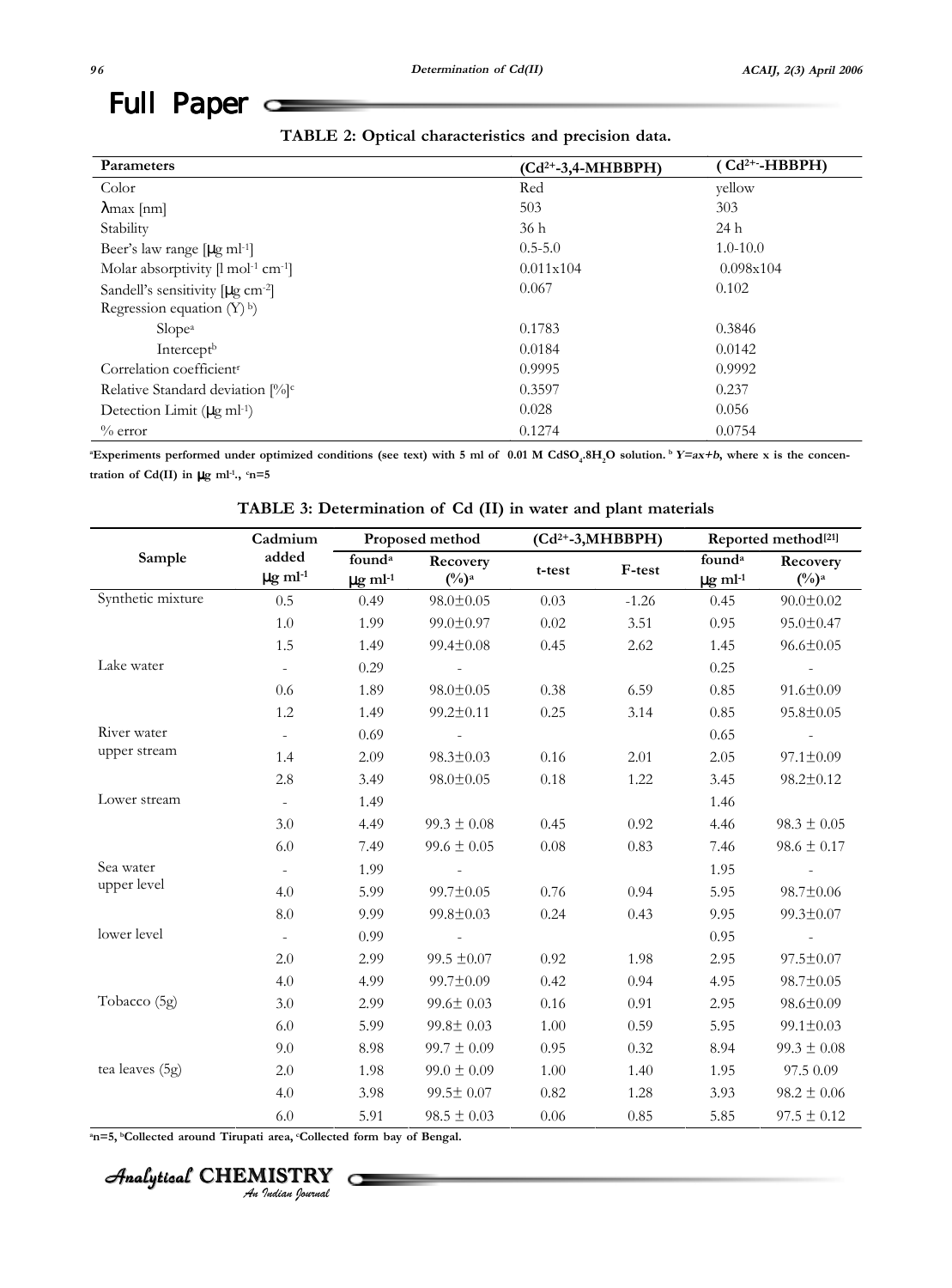## Full Paper  $\subseteq$

| <b>Parameters</b>                                         | $(Cd^{2+}-3,4-MHBBPH)$ | (Cd <sup>2+</sup> -HBBPH) |
|-----------------------------------------------------------|------------------------|---------------------------|
| Color                                                     | Red                    | yellow                    |
| $\lambda$ max [nm]                                        | 503                    | 303                       |
| Stability                                                 | 36 h                   | 24 h                      |
| Beer's law range $[\mu g \text{ ml-1}]$                   | $0.5 - 5.0$            | $1.0 - 10.0$              |
| Molar absorptivity $[1 \text{ mol}^{-1} \text{ cm}^{-1}]$ | 0.011x104              | 0.098x104                 |
| Sandell's sensitivity $[\mu g \text{ cm}^{-2}]$           | 0.067                  | 0.102                     |
| Regression equation $(Y)$ <sup>b</sup> )                  |                        |                           |
| Slope <sup>a</sup>                                        | 0.1783                 | 0.3846                    |
| Intercept <sup>b</sup>                                    | 0.0184                 | 0.0142                    |
| Correlation coefficient <sup>r</sup>                      | 0.9995                 | 0.9992                    |
| Relative Standard deviation [%] <sup>c</sup>              | 0.3597                 | 0.237                     |
| Detection Limit $(\mu g \text{ ml-1})$                    | 0.028                  | 0.056                     |
| $\%$ error                                                | 0.1274                 | 0.0754                    |

**a** Experiments performed under optimized conditions (see text) with 5 ml of 0.01 M CdSO<sub>4</sub>.8H<sub>2</sub>O solution. b *Y=ax+b*, where x is the concen**tration of Cd(II)** in  $\mu$ g ml<sup>-1</sup>.,  $c$ n=5

**TABLE 3: Determination of Cd (II) in water and plant materials**

|                   | Cadmium                           | Proposed method                                |                               | $(Cd^{2+}-3, MHBBPH)$ |         | Reported method <sup>[21]</sup>                |                                        |
|-------------------|-----------------------------------|------------------------------------------------|-------------------------------|-----------------------|---------|------------------------------------------------|----------------------------------------|
| Sample            | added<br>$\mu$ g ml <sup>-1</sup> | found <sup>a</sup><br>$\mu$ g ml <sup>-1</sup> | Recovery<br>$(\frac{0}{0})^a$ | t-test                | F-test  | found <sup>a</sup><br>$\mu$ g ml <sup>-1</sup> | Recovery<br>$(^{0}/_{0})$ <sup>a</sup> |
| Synthetic mixture | 0.5                               | 0.49                                           | $98.0 \pm 0.05$               | 0.03                  | $-1.26$ | 0.45                                           | $90.0 \pm 0.02$                        |
|                   | 1.0                               | 1.99                                           | 99.0±0.97                     | 0.02                  | 3.51    | 0.95                                           | $95.0 \pm 0.47$                        |
|                   | 1.5                               | 1.49                                           | $99.4 \pm 0.08$               | 0.45                  | 2.62    | 1.45                                           | $96.6 \pm 0.05$                        |
| Lake water        | $\overline{\phantom{a}}$          | 0.29                                           |                               |                       |         | 0.25                                           |                                        |
|                   | 0.6                               | 1.89                                           | $98.0 \pm 0.05$               | 0.38                  | 6.59    | 0.85                                           | $91.6 \pm 0.09$                        |
|                   | 1.2                               | 1.49                                           | $99.2 \pm 0.11$               | 0.25                  | 3.14    | 0.85                                           | $95.8 \pm 0.05$                        |
| River water       | $\overline{\phantom{a}}$          | 0.69                                           |                               |                       |         | 0.65                                           |                                        |
| upper stream      | 1.4                               | 2.09                                           | $98.3 \pm 0.03$               | 0.16                  | 2.01    | 2.05                                           | $97.1 \pm 0.09$                        |
|                   | 2.8                               | 3.49                                           | $98.0 \pm 0.05$               | 0.18                  | 1.22    | 3.45                                           | $98.2 \pm 0.12$                        |
| Lower stream      | $\omega$                          | 1.49                                           |                               |                       |         | 1.46                                           |                                        |
|                   | 3.0                               | 4.49                                           | $99.3 \pm 0.08$               | 0.45                  | 0.92    | 4.46                                           | $98.3 \pm 0.05$                        |
|                   | 6.0                               | 7.49                                           | $99.6 \pm 0.05$               | $0.08\,$              | 0.83    | 7.46                                           | $98.6 \pm 0.17$                        |
| Sea water         | $\overline{\phantom{a}}$          | 1.99                                           |                               |                       |         | 1.95                                           |                                        |
| upper level       | 4.0                               | 5.99                                           | $99.7 \pm 0.05$               | 0.76                  | 0.94    | 5.95                                           | $98.7 \pm 0.06$                        |
|                   | 8.0                               | 9.99                                           | 99.8±0.03                     | 0.24                  | 0.43    | 9.95                                           | 99.3±0.07                              |
| lower level       | $\bar{\phantom{a}}$               | 0.99                                           |                               |                       |         | 0.95                                           |                                        |
|                   | 2.0                               | 2.99                                           | $99.5 \pm 0.07$               | 0.92                  | 1.98    | 2.95                                           | $97.5 \pm 0.07$                        |
|                   | 4.0                               | 4.99                                           | $99.7 \pm 0.09$               | 0.42                  | 0.94    | 4.95                                           | 98.7±0.05                              |
| Tobacco (5g)      | 3.0                               | 2.99                                           | $99.6 \pm 0.03$               | 0.16                  | 0.91    | 2.95                                           | $98.6 \pm 0.09$                        |
|                   | 6.0                               | 5.99                                           | $99.8 \pm 0.03$               | 1.00                  | 0.59    | 5.95                                           | $99.1 \pm 0.03$                        |
|                   | 9.0                               | 8.98                                           | $99.7 \pm 0.09$               | 0.95                  | 0.32    | 8.94                                           | $99.3 \pm 0.08$                        |
| tea leaves (5g)   | 2.0                               | 1.98                                           | $99.0 \pm 0.09$               | 1.00                  | 1.40    | 1.95                                           | 97.5 0.09                              |
|                   | 4.0                               | 3.98                                           | 99.5± 0.07                    | 0.82                  | 1.28    | 3.93                                           | $98.2 \pm 0.06$                        |
|                   | 6.0                               | 5.91                                           | $98.5 \pm 0.03$               | 0.06                  | 0.85    | 5.85                                           | $97.5 \pm 0.12$                        |

<sup>a</sup>n=5, <sup>b</sup>Collected around Tirupati area, <sup>c</sup>Collected form bay of Bengal.

Analytical CHEMISTRY<br><sup>An Indian Journal</sup>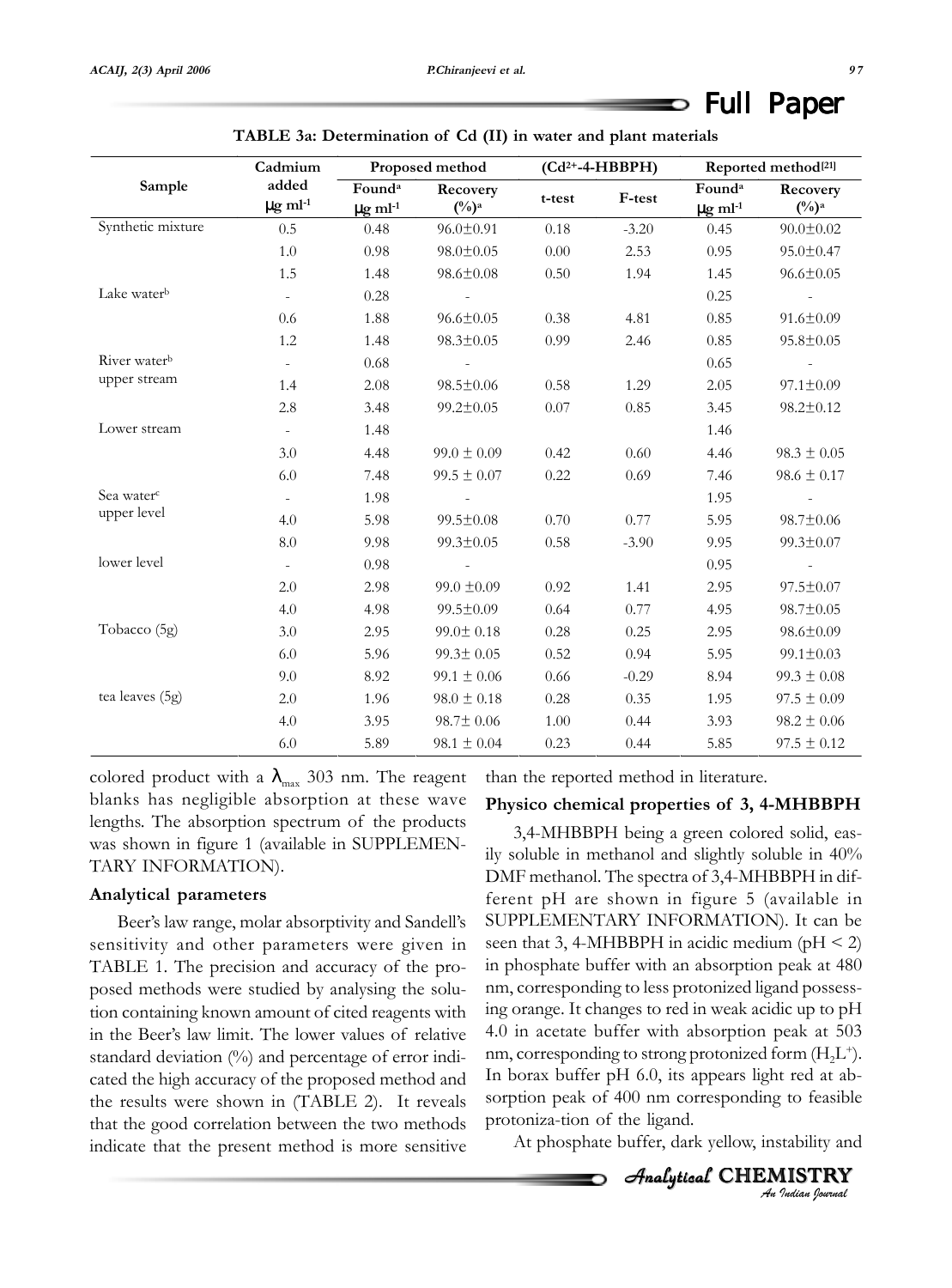D

| TADLE Ja. DUUHIIIIauuh 01 Cu (11) in waiti anu piant matemais |                                   |                                                |                               |                     |         |                                                |                      |
|---------------------------------------------------------------|-----------------------------------|------------------------------------------------|-------------------------------|---------------------|---------|------------------------------------------------|----------------------|
|                                                               | Cadmium                           | Proposed method                                |                               | $(Cd^{2+}-4-HBBPH)$ |         | Reported method <sup>[21]</sup>                |                      |
| Sample                                                        | added<br>$\mu$ g ml <sup>-1</sup> | Found <sup>a</sup><br>$\mu$ g ml <sup>-1</sup> | Recovery<br>$(\frac{0}{0})^a$ | t-test              | F-test  | Found <sup>a</sup><br>$\mu$ g ml <sup>-1</sup> | Recovery<br>$(\%)^a$ |
| Synthetic mixture                                             | 0.5                               | 0.48                                           | $96.0 \pm 0.91$               | 0.18                | $-3.20$ | 0.45                                           | $90.0 \pm 0.02$      |
|                                                               | $1.0\,$                           | 0.98                                           | $98.0 \pm 0.05$               | 0.00                | 2.53    | 0.95                                           | $95.0 \pm 0.47$      |
|                                                               | 1.5                               | 1.48                                           | $98.6 \pm 0.08$               | 0.50                | 1.94    | 1.45                                           | $96.6 \pm 0.05$      |
| Lake water <sup>b</sup>                                       | $\overline{\phantom{a}}$          | $0.28\,$                                       |                               |                     |         | 0.25                                           |                      |
|                                                               | $0.6\,$                           | 1.88                                           | $96.6 \pm 0.05$               | 0.38                | 4.81    | 0.85                                           | $91.6 \pm 0.09$      |
|                                                               | 1.2                               | 1.48                                           | $98.3 \pm 0.05$               | 0.99                | 2.46    | 0.85                                           | $95.8 \pm 0.05$      |
| River water <sup>b</sup>                                      | $\blacksquare$                    | 0.68                                           |                               |                     |         | 0.65                                           |                      |
| upper stream                                                  | 1.4                               | 2.08                                           | $98.5 \pm 0.06$               | 0.58                | 1.29    | 2.05                                           | $97.1 \pm 0.09$      |
|                                                               | 2.8                               | 3.48                                           | $99.2 \pm 0.05$               | 0.07                | 0.85    | 3.45                                           | $98.2 \pm 0.12$      |
| Lower stream                                                  | $\omega$                          | 1.48                                           |                               |                     |         | 1.46                                           |                      |
|                                                               | 3.0                               | 4.48                                           | $99.0 \pm 0.09$               | 0.42                | 0.60    | 4.46                                           | $98.3 \pm 0.05$      |
|                                                               | 6.0                               | 7.48                                           | $99.5 \pm 0.07$               | 0.22                | 0.69    | 7.46                                           | $98.6 \pm 0.17$      |
| Sea water <sup>c</sup>                                        | $\equiv$                          | 1.98                                           |                               |                     |         | 1.95                                           |                      |
| upper level                                                   | 4.0                               | 5.98                                           | $99.5 \pm 0.08$               | 0.70                | 0.77    | 5.95                                           | 98.7±0.06            |
|                                                               | 8.0                               | 9.98                                           | $99.3 \pm 0.05$               | 0.58                | $-3.90$ | 9.95                                           | 99.3±0.07            |
| lower level                                                   | $\overline{\phantom{a}}$          | 0.98                                           |                               |                     |         | 0.95                                           |                      |
|                                                               | 2.0                               | 2.98                                           | $99.0 \pm 0.09$               | 0.92                | 1.41    | 2.95                                           | $97.5 \pm 0.07$      |
|                                                               | 4.0                               | 4.98                                           | $99.5 \pm 0.09$               | 0.64                | 0.77    | 4.95                                           | 98.7±0.05            |
| Tobacco (5g)                                                  | 3.0                               | 2.95                                           | $99.0 \pm 0.18$               | 0.28                | 0.25    | 2.95                                           | $98.6 \pm 0.09$      |
|                                                               | 6.0                               | 5.96                                           | $99.3 \pm 0.05$               | 0.52                | 0.94    | 5.95                                           | $99.1 \pm 0.03$      |
|                                                               | 9.0                               | 8.92                                           | $99.1 \pm 0.06$               | 0.66                | $-0.29$ | 8.94                                           | $99.3 \pm 0.08$      |
| tea leaves (5g)                                               | 2.0                               | 1.96                                           | $98.0 \pm 0.18$               | 0.28                | 0.35    | 1.95                                           | $97.5 \pm 0.09$      |
|                                                               | 4.0                               | 3.95                                           | $98.7 \pm 0.06$               | 1.00                | 0.44    | 3.93                                           | $98.2 \pm 0.06$      |
|                                                               | 6.0                               | 5.89                                           | $98.1 \pm 0.04$               | 0.23                | 0.44    | 5.85                                           | $97.5 \pm 0.12$      |

**TABLE 3a: Determination of Cd (II) in water and plant materials**

colored product with a  $\lambda_{\text{max}}$  303 nm. The reagent blanks has negligible absorption at these wave lengths. The absorption spectrum of the products was shown in figure 1 (available in SUPPLEMEN-TARY INFORMATION).

#### **Analytical parameters**

Beer's law range, molar absorptivity and Sandell's sensitivity and other parameters were given in TABLE 1. The precision and accuracy of the proposed methods were studied by analysing the solution containing known amount of cited reagents with in the Beer's law limit. The lower values of relative standard deviation (%) and percentage of error indicated the high accuracy of the proposed method and the results were shown in (TABLE 2). It reveals that the good correlation between the two methods indicate that the present method is more sensitive than the reported method in literature.

#### **Physico chemical properties of 3, 4-MHBBPH**

3,4-MHBBPH being a green colored solid, easily soluble in methanol and slightly soluble in 40% DMF methanol. The spectra of 3,4-MHBBPH in different pH are shown in figure 5 (available in SUPPLEMENTARY INFORMATION). It can be seen that 3, 4-MHBBPH in acidic medium ( $pH < 2$ ) in phosphate buffer with an absorption peak at 480 nm, corresponding to less protonized ligand possessing orange. It changes to red in weak acidic up to pH 4.0 in acetate buffer with absorption peak at 503 nm, corresponding to strong protonized form  $(H,L^+).$ In borax buffer pH 6.0, its appears light red at absorption peak of 400 nm corresponding to feasible protoniza-tion of the ligand.

At phosphate buffer, dark yellow, instability and

*An Indian Journal* Analytical CHEMISTRY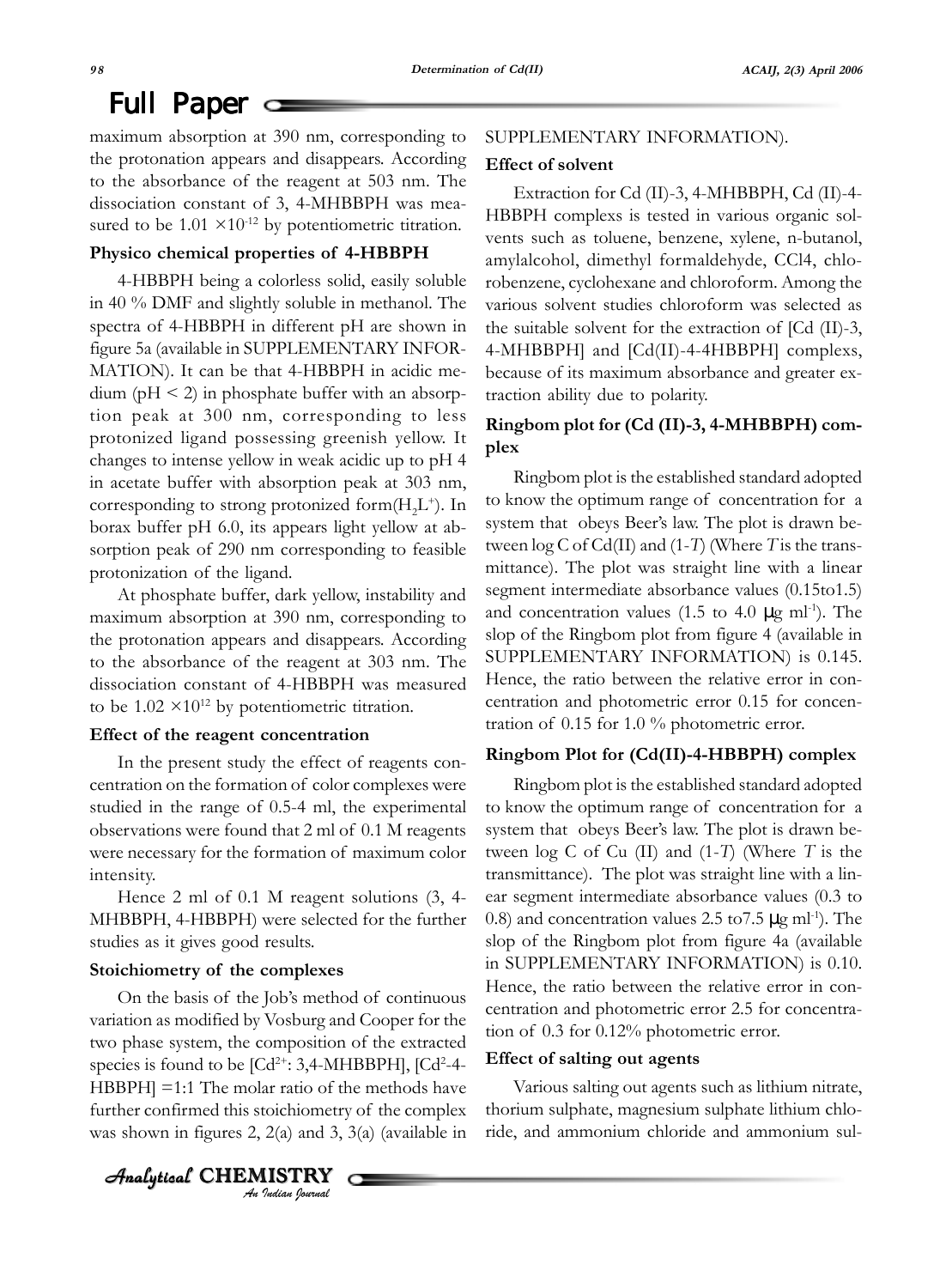maximum absorption at 390 nm, corresponding to the protonation appears and disappears. According to the absorbance of the reagent at 503 nm. The dissociation constant of 3, 4-MHBBPH was measured to be  $1.01 \times 10^{-12}$  by potentiometric titration.

#### **Physico chemical properties of 4-HBBPH**

4-HBBPH being a colorless solid, easily soluble in 40 % DMF and slightly soluble in methanol. The spectra of 4-HBBPH in different pH are shown in figure 5a (available in SUPPLEMENTARY INFOR-MATION). It can be that 4-HBBPH in acidic me $dium (pH < 2)$  in phosphate buffer with an absorption peak at 300 nm, corresponding to less protonized ligand possessing greenish yellow. It changes to intense yellow in weak acidic up to pH 4 in acetate buffer with absorption peak at 303 nm, corresponding to strong protonized form $(H,L^+)$ . In borax buffer pH 6.0, its appears light yellow at absorption peak of 290 nm corresponding to feasible protonization of the ligand.

At phosphate buffer, dark yellow, instability and maximum absorption at 390 nm, corresponding to the protonation appears and disappears. According to the absorbance of the reagent at 303 nm. The dissociation constant of 4-HBBPH was measured to be  $1.02 \times 10^{12}$  by potentiometric titration.

#### **Effect of the reagent concentration**

In the present study the effect of reagents concentration on the formation of color complexes were studied in the range of 0.5-4 ml, the experimental observations were found that 2 ml of 0.1 M reagents were necessary for the formation of maximum color intensity.

Hence 2 ml of 0.1 M reagent solutions (3, 4- MHBBPH, 4-HBBPH) were selected for the further studies as it gives good results.

#### **Stoichiometry of the complexes**

Analytical  $\,$  <code>CHEMISTRY</code>

On the basis of the Job's method of continuous variation as modified by Vosburg and Cooper for the two phase system, the composition of the extracted species is found to be  $[Cd^{2+}$ : 3,4-MHBBPH],  $[Cd^{2-}4-$ HBBPH] =1:1 The molar ratio of the methods have further confirmed this stoichiometry of the complex was shown in figures 2, 2(a) and 3, 3(a) (available in

*An Indian Journal*

#### SUPPLEMENTARY INFORMATION).

#### **Effect of solvent**

Extraction for Cd (II)-3, 4-MHBBPH, Cd (II)-4- HBBPH complexs is tested in various organic solvents such as toluene, benzene, xylene, n-butanol, amylalcohol, dimethyl formaldehyde, CCl4, chlorobenzene, cyclohexane and chloroform. Among the various solvent studies chloroform was selected as the suitable solvent for the extraction of [Cd (II)-3, 4-MHBBPH] and [Cd(II)-4-4HBBPH] complexs, because of its maximum absorbance and greater extraction ability due to polarity.

#### **Ringbom plot for (Cd (II)-3, 4-MHBBPH) complex**

Ringbom plot is the established standard adopted to know the optimum range of concentration for a system that obeys Beer's law. The plot is drawn between log C of Cd(II) and (1-*T*) (Where *T* is the transmittance). The plot was straight line with a linear segment intermediate absorbance values (0.15to1.5) and concentration values (1.5 to 4.0  $\mu$ g ml<sup>-1</sup>). The slop of the Ringbom plot from figure 4 (available in SUPPLEMENTARY INFORMATION) is 0.145. Hence, the ratio between the relative error in concentration and photometric error 0.15 for concentration of 0.15 for 1.0 % photometric error.

#### **Ringbom Plot for (Cd(II)-4-HBBPH) complex**

Ringbom plot is the established standard adopted to know the optimum range of concentration for a system that obeys Beer's law. The plot is drawn between log C of Cu (II) and (1-*T*) (Where *T* is the transmittance). The plot was straight line with a linear segment intermediate absorbance values (0.3 to 0.8) and concentration values 2.5 to  $7.5 \mu$ g ml<sup>-1</sup>). The slop of the Ringbom plot from figure 4a (available in SUPPLEMENTARY INFORMATION) is 0.10. Hence, the ratio between the relative error in concentration and photometric error 2.5 for concentration of 0.3 for 0.12% photometric error.

#### **Effect of salting out agents**

Various salting out agents such as lithium nitrate, thorium sulphate, magnesium sulphate lithium chloride, and ammonium chloride and ammonium sul-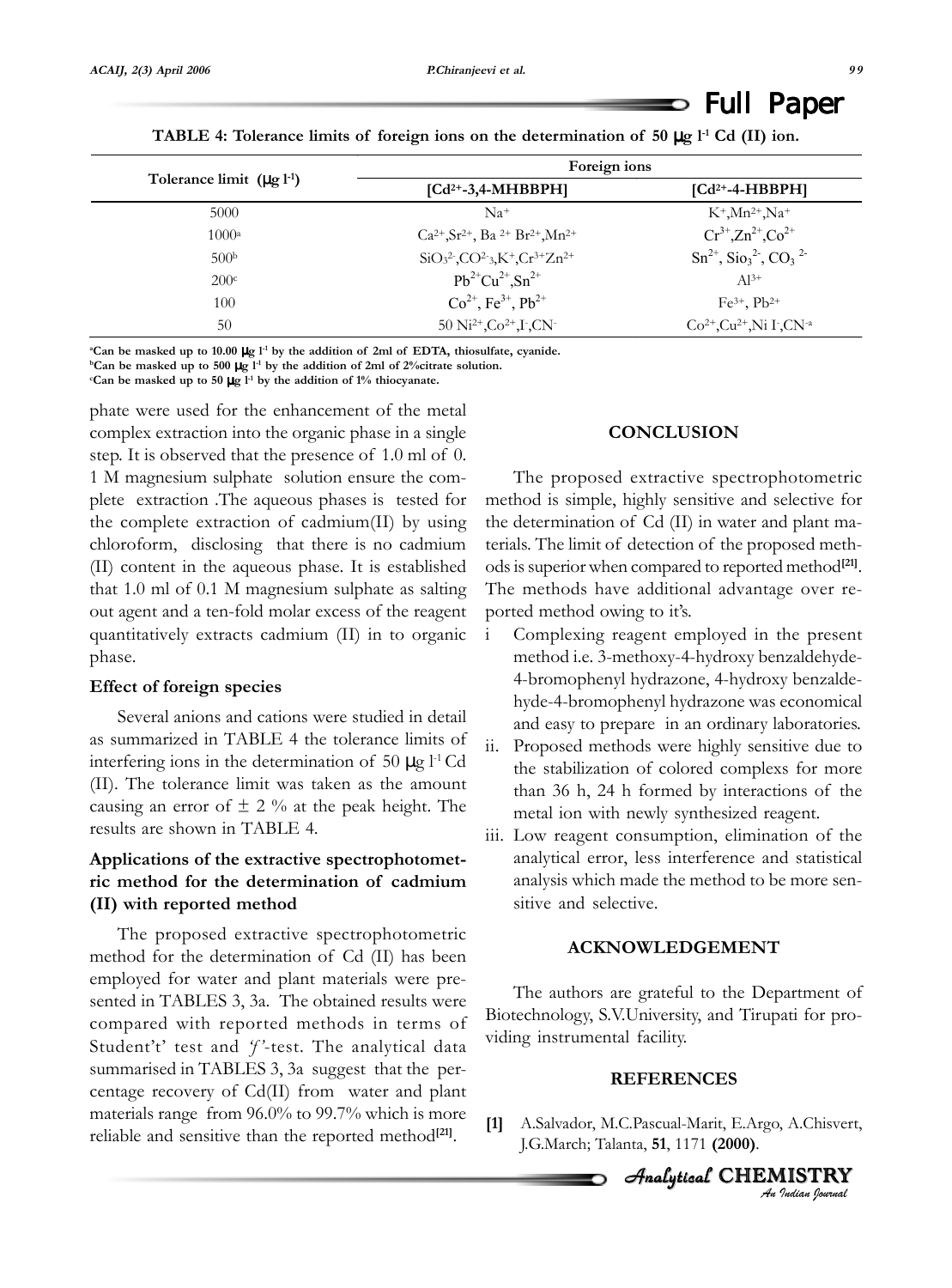|                                  | Foreign ions                                     |                                                       |  |  |  |
|----------------------------------|--------------------------------------------------|-------------------------------------------------------|--|--|--|
| Tolerance limit $(\mu g l^{-1})$ | $\left[ Cd^{2+}-3,4-MHBBPH\right]$               | $\left[Cd^{2+}-4-HBBPH\right]$                        |  |  |  |
| 5000                             | $Na+$                                            | $K^+$ , Mn <sup>2+</sup> , Na <sup>+</sup>            |  |  |  |
| $1000^{\rm a}$                   | $Ca^{2+}, Sr^{2+}, Ba^{2+}Br^{2+}, Mn^{2+}$      | $Cr^{3+}$ , $Zn^{2+}$ , $Co^{2+}$                     |  |  |  |
| 500 <sup>b</sup>                 | $SiO32$ , $CO2$ <sub>3</sub> , $K+$ , $Cr3+Zn2+$ | $\text{Sn}^{2+}$ , $\text{Sio}_3^2$ , $\text{CO}_3^2$ |  |  |  |
| 200 <sup>c</sup>                 | $Pb^{2+}Cu^{2+}.Sn^{2+}$                         | $Al^{3+}$                                             |  |  |  |
| 100                              | $Co^{2+}$ , Fe <sup>3+</sup> , Pb <sup>2+</sup>  | $Fe^{3+}$ , $Pb^{2+}$                                 |  |  |  |
| 50                               | 50 $Ni^{2+}$ , $Co^{2+}$ , $I$ , $CN^{-}$        | $Co^{2+}$ , $Cu^{2+}$ , Ni I, $CN^{-a}$               |  |  |  |

**TABLE 4:** Tolerance limits of foreign ions on the determination of 50  $\mu$ g l<sup>-1</sup> Cd (II) ion.

**a Can be masked up to 10.00** µ**g l-1 by the addition of 2ml of EDTA, thiosulfate, cyanide.**

**bCan be masked up to 500** µ**g l-1 by the addition of 2ml of 2%citrate solution.**

**c Can be masked up to 50** µ**g l-1 by the addition of 1% thiocyanate.**

phate were used for the enhancement of the metal complex extraction into the organic phase in a single step. It is observed that the presence of 1.0 ml of 0. 1 M magnesium sulphate solution ensure the complete extraction .The aqueous phases is tested for the complete extraction of cadmium(II) by using chloroform, disclosing that there is no cadmium (II) content in the aqueous phase. It is established that 1.0 ml of 0.1 M magnesium sulphate as salting out agent and a ten-fold molar excess of the reagent quantitatively extracts cadmium (II) in to organic phase.

#### **Effect of foreign species**

Several anions and cations were studied in detail as summarized in TABLE 4 the tolerance limits of interfering ions in the determination of 50  $\mu$ g l<sup>-1</sup> Cd (II). The tolerance limit was taken as the amount causing an error of  $\pm$  2 % at the peak height. The results are shown in TABLE 4.

#### **Applications of the extractive spectrophotometric method for the determination of cadmium (II) with reported method**

The proposed extractive spectrophotometric method for the determination of Cd (II) has been employed for water and plant materials were presented in TABLES 3, 3a. The obtained results were compared with reported methods in terms of Student't' test and *'f'*-test. The analytical data summarised in TABLES 3, 3a suggest that the percentage recovery of Cd(II) from water and plant materials range from 96.0% to 99.7% which is more reliable and sensitive than the reported method<sup>[21]</sup>.

#### **CONCLUSION**

The proposed extractive spectrophotometric method is simple, highly sensitive and selective for the determination of Cd (II) in water and plant materials. The limit of detection of the proposed methods is superior when compared to reported method**[21]**. The methods have additional advantage over reported method owing to it's.

- i Complexing reagent employed in the present method i.e. 3-methoxy-4-hydroxy benzaldehyde-4-bromophenyl hydrazone, 4-hydroxy benzaldehyde-4-bromophenyl hydrazone was economical and easy to prepare in an ordinary laboratories.
- ii. Proposed methods were highly sensitive due to the stabilization of colored complexs for more than 36 h, 24 h formed by interactions of the metal ion with newly synthesized reagent.
- iii. Low reagent consumption, elimination of the analytical error, less interference and statistical analysis which made the method to be more sensitive and selective.

#### **ACKNOWLEDGEMENT**

The authors are grateful to the Department of Biotechnology, S.V.University, and Tirupati for providing instrumental facility.

#### **REFERENCES**

**[1]** A.Salvador, M.C.Pascual-Marit, E.Argo, A.Chisvert, J.G.March; Talanta, **51**, 1171 **(2000)**.